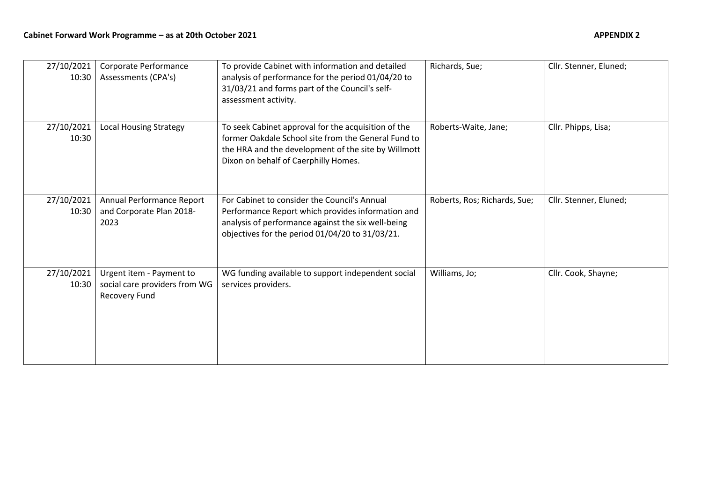| 27/10/2021<br>10:30 | Corporate Performance<br>Assessments (CPA's)                               | To provide Cabinet with information and detailed<br>analysis of performance for the period 01/04/20 to<br>31/03/21 and forms part of the Council's self-<br>assessment activity.                           | Richards, Sue;               | Cllr. Stenner, Eluned; |
|---------------------|----------------------------------------------------------------------------|------------------------------------------------------------------------------------------------------------------------------------------------------------------------------------------------------------|------------------------------|------------------------|
| 27/10/2021<br>10:30 | <b>Local Housing Strategy</b>                                              | To seek Cabinet approval for the acquisition of the<br>former Oakdale School site from the General Fund to<br>the HRA and the development of the site by Willmott<br>Dixon on behalf of Caerphilly Homes.  | Roberts-Waite, Jane;         | Cllr. Phipps, Lisa;    |
| 27/10/2021<br>10:30 | Annual Performance Report<br>and Corporate Plan 2018-<br>2023              | For Cabinet to consider the Council's Annual<br>Performance Report which provides information and<br>analysis of performance against the six well-being<br>objectives for the period 01/04/20 to 31/03/21. | Roberts, Ros; Richards, Sue; | Cllr. Stenner, Eluned; |
| 27/10/2021<br>10:30 | Urgent item - Payment to<br>social care providers from WG<br>Recovery Fund | WG funding available to support independent social<br>services providers.                                                                                                                                  | Williams, Jo;                | Cllr. Cook, Shayne;    |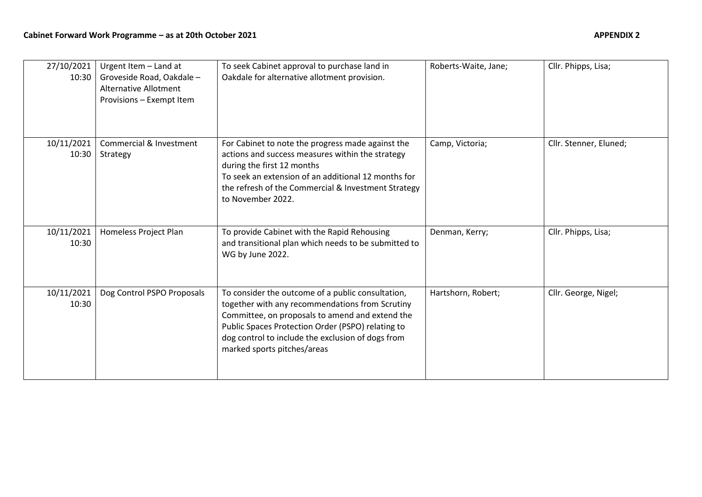| 27/10/2021<br>10:30 | Urgent Item - Land at<br>Groveside Road, Oakdale -<br><b>Alternative Allotment</b><br>Provisions - Exempt Item | To seek Cabinet approval to purchase land in<br>Oakdale for alternative allotment provision.                                                                                                                                                                                                     | Roberts-Waite, Jane; | Cllr. Phipps, Lisa;    |
|---------------------|----------------------------------------------------------------------------------------------------------------|--------------------------------------------------------------------------------------------------------------------------------------------------------------------------------------------------------------------------------------------------------------------------------------------------|----------------------|------------------------|
| 10/11/2021<br>10:30 | Commercial & Investment<br>Strategy                                                                            | For Cabinet to note the progress made against the<br>actions and success measures within the strategy<br>during the first 12 months<br>To seek an extension of an additional 12 months for<br>the refresh of the Commercial & Investment Strategy<br>to November 2022.                           | Camp, Victoria;      | Cllr. Stenner, Eluned; |
| 10/11/2021<br>10:30 | Homeless Project Plan                                                                                          | To provide Cabinet with the Rapid Rehousing<br>and transitional plan which needs to be submitted to<br>WG by June 2022.                                                                                                                                                                          | Denman, Kerry;       | Cllr. Phipps, Lisa;    |
| 10/11/2021<br>10:30 | Dog Control PSPO Proposals                                                                                     | To consider the outcome of a public consultation,<br>together with any recommendations from Scrutiny<br>Committee, on proposals to amend and extend the<br>Public Spaces Protection Order (PSPO) relating to<br>dog control to include the exclusion of dogs from<br>marked sports pitches/areas | Hartshorn, Robert;   | Cllr. George, Nigel;   |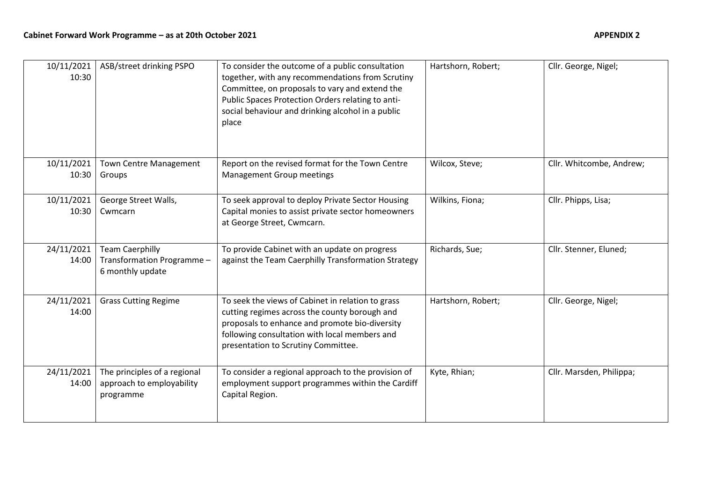| 10/11/2021<br>10:30 | ASB/street drinking PSPO                                                 | To consider the outcome of a public consultation<br>together, with any recommendations from Scrutiny<br>Committee, on proposals to vary and extend the<br>Public Spaces Protection Orders relating to anti-<br>social behaviour and drinking alcohol in a public<br>place | Hartshorn, Robert; | Cllr. George, Nigel;     |
|---------------------|--------------------------------------------------------------------------|---------------------------------------------------------------------------------------------------------------------------------------------------------------------------------------------------------------------------------------------------------------------------|--------------------|--------------------------|
| 10/11/2021<br>10:30 | <b>Town Centre Management</b><br>Groups                                  | Report on the revised format for the Town Centre<br><b>Management Group meetings</b>                                                                                                                                                                                      | Wilcox, Steve;     | Cllr. Whitcombe, Andrew; |
| 10/11/2021<br>10:30 | George Street Walls,<br>Cwmcarn                                          | To seek approval to deploy Private Sector Housing<br>Capital monies to assist private sector homeowners<br>at George Street, Cwmcarn.                                                                                                                                     | Wilkins, Fiona;    | Cllr. Phipps, Lisa;      |
| 24/11/2021<br>14:00 | <b>Team Caerphilly</b><br>Transformation Programme -<br>6 monthly update | To provide Cabinet with an update on progress<br>against the Team Caerphilly Transformation Strategy                                                                                                                                                                      | Richards, Sue;     | Cllr. Stenner, Eluned;   |
| 24/11/2021<br>14:00 | <b>Grass Cutting Regime</b>                                              | To seek the views of Cabinet in relation to grass<br>cutting regimes across the county borough and<br>proposals to enhance and promote bio-diversity<br>following consultation with local members and<br>presentation to Scrutiny Committee.                              | Hartshorn, Robert; | Cllr. George, Nigel;     |
| 24/11/2021<br>14:00 | The principles of a regional<br>approach to employability<br>programme   | To consider a regional approach to the provision of<br>employment support programmes within the Cardiff<br>Capital Region.                                                                                                                                                | Kyte, Rhian;       | Cllr. Marsden, Philippa; |